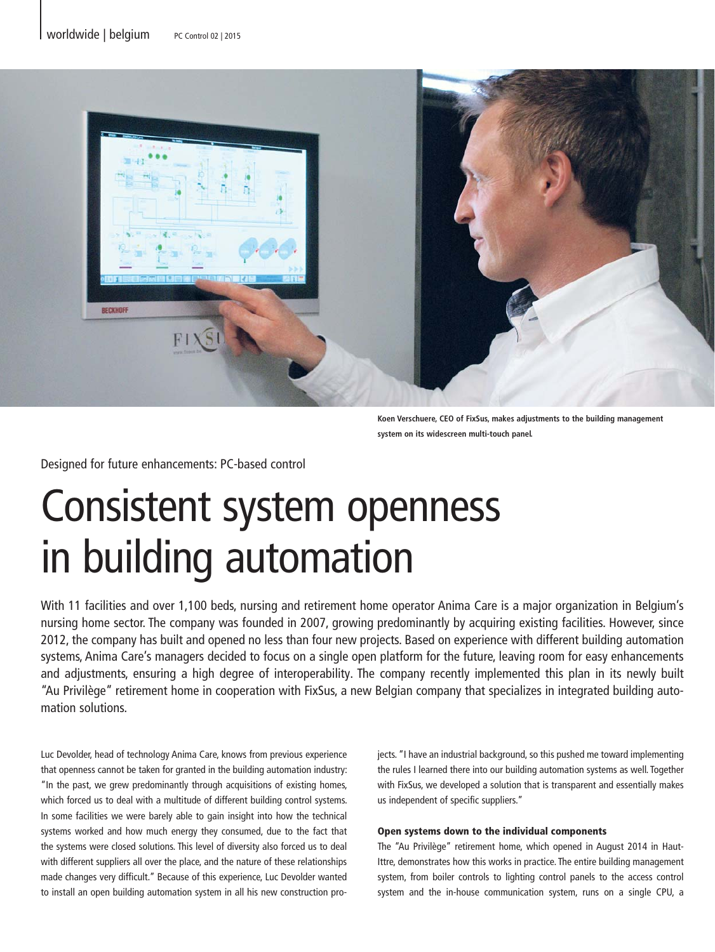

**Koen Verschuere, CEO of FixSus, makes adjustments to the building management system on its widescreen multi-touch panel.**

Designed for future enhancements: PC-based control

# Consistent system openness in building automation

With 11 facilities and over 1,100 beds, nursing and retirement home operator Anima Care is a major organization in Belgium's nursing home sector. The company was founded in 2007, growing predominantly by acquiring existing facilities. However, since 2012, the company has built and opened no less than four new projects. Based on experience with different building automation systems, Anima Care's managers decided to focus on a single open platform for the future, leaving room for easy enhancements and adjustments, ensuring a high degree of interoperability. The company recently implemented this plan in its newly built "Au Privilège" retirement home in cooperation with FixSus, a new Belgian company that specializes in integrated building automation solutions.

Luc Devolder, head of technology Anima Care, knows from previous experience that openness cannot be taken for granted in the building automation industry: "In the past, we grew predominantly through acquisitions of existing homes, which forced us to deal with a multitude of different building control systems. In some facilities we were barely able to gain insight into how the technical systems worked and how much energy they consumed, due to the fact that the systems were closed solutions. This level of diversity also forced us to deal with different suppliers all over the place, and the nature of these relationships made changes very difficult." Because of this experience, Luc Devolder wanted to install an open building automation system in all his new construction projects. "I have an industrial background, so this pushed me toward implementing the rules I learned there into our building automation systems as well. Together with FixSus, we developed a solution that is transparent and essentially makes us independent of specific suppliers."

## Open systems down to the individual components

The "Au Privilège" retirement home, which opened in August 2014 in Haut-Ittre, demonstrates how this works in practice. The entire building management system, from boiler controls to lighting control panels to the access control system and the in-house communication system, runs on a single CPU, a